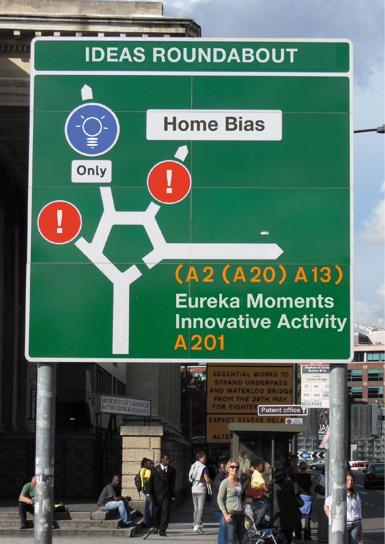# **IDEAS ROUNDABOUT**

I

Only

Ī

**Home Bias** 

# $(A2 (A20) A13)$ **Eureka Moments Innovative Activity**  $A$ 201

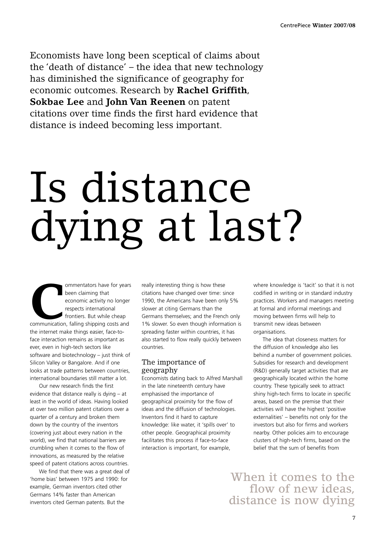Economists have long been sceptical of claims about the 'death of distance' – the idea that new technology has diminished the significance of geography for economic outcomes. Research by **Rachel Griffith**, **Sokbae Lee** and **John Van Reenen** on patent citations over time finds the first hard evidence that distance is indeed becoming less important.

# Is distance dying at last?

**Commentators have for years**<br>
been claiming that<br>
economic activity no longer<br>
respects international<br>
frontiers. But while cheap<br>
communication, falling shipping costs and been claiming that economic activity no longer respects international frontiers. But while cheap the internet make things easier, face-toface interaction remains as important as ever, even in high-tech sectors like software and biotechnology – just think of Silicon Valley or Bangalore. And if one looks at trade patterns between countries, international boundaries still matter a lot.

Our new research finds the first evidence that distance really is dying – at least in the world of ideas. Having looked at over two million patent citations over a quarter of a century and broken them down by the country of the inventors (covering just about every nation in the world), we find that national barriers are crumbling when it comes to the flow of innovations, as measured by the relative speed of patent citations across countries.

We find that there was a great deal of 'home bias' between 1975 and 1990: for example, German inventors cited other Germans 14% faster than American inventors cited German patents. But the

really interesting thing is how these citations have changed over time: since 1990, the Americans have been only 5% slower at citing Germans than the Germans themselves; and the French only 1% slower. So even though information is spreading faster within countries, it has also started to flow really quickly between countries.

## The importance of geography

Economists dating back to Alfred Marshall in the late nineteenth century have emphasised the importance of geographical proximity for the flow of ideas and the diffusion of technologies. Inventors find it hard to capture knowledge: like water, it 'spills over' to other people. Geographical proximity facilitates this process if face-to-face interaction is important, for example,

where knowledge is 'tacit' so that it is not codified in writing or in standard industry practices. Workers and managers meeting at formal and informal meetings and moving between firms will help to transmit new ideas between organisations.

The idea that closeness matters for the diffusion of knowledge also lies behind a number of government policies. Subsidies for research and development (R&D) generally target activities that are geographically located within the home country. These typically seek to attract shiny high-tech firms to locate in specific areas, based on the premise that their activities will have the highest 'positive externalities' – benefits not only for the investors but also for firms and workers nearby. Other policies aim to encourage clusters of high-tech firms, based on the belief that the sum of benefits from

When it comes to the flow of new ideas, distance is now dying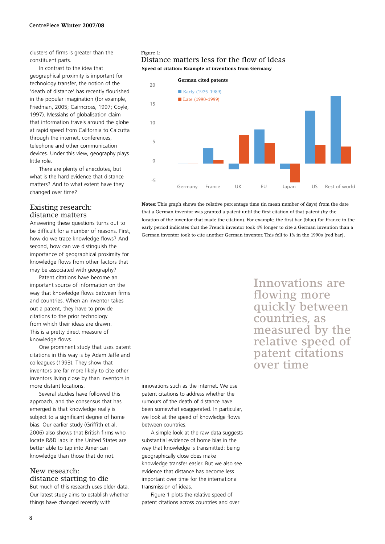clusters of firms is greater than the constituent parts.

In contrast to the idea that geographical proximity is important for technology transfer, the notion of the 'death of distance' has recently flourished in the popular imagination (for example, Friedman, 2005; Cairncross, 1997; Coyle, 1997). Messiahs of globalisation claim that information travels around the globe at rapid speed from California to Calcutta through the internet, conferences, telephone and other communication devices. Under this view, geography plays little role.

There are plenty of anecdotes, but what is the hard evidence that distance matters? And to what extent have they changed over time?

## Existing research: distance matters

Answering these questions turns out to be difficult for a number of reasons. First, how do we trace knowledge flows? And second, how can we distinguish the importance of geographical proximity for knowledge flows from other factors that may be associated with geography?

Patent citations have become an important source of information on the way that knowledge flows between firms and countries. When an inventor takes out a patent, they have to provide citations to the prior technology from which their ideas are drawn. This is a pretty direct measure of knowledge flows.

One prominent study that uses patent citations in this way is by Adam Jaffe and colleagues (1993). They show that inventors are far more likely to cite other inventors living close by than inventors in more distant locations.

Several studies have followed this approach, and the consensus that has emerged is that knowledge really is subject to a significant degree of home bias. Our earlier study (Griffith et al, 2006) also shows that British firms who locate R&D labs in the United States are better able to tap into American knowledge than those that do not.

# New research: distance starting to die

But much of this research uses older data. Our latest study aims to establish whether things have changed recently with

#### Figure 1:

#### Distance matters less for the flow of ideas **Speed of citation: Example of inventions from Germany**



**Notes:** This graph shows the relative percentage time (in mean number of days) from the date that a German inventor was granted a patent until the first citation of that patent (by the location of the inventor that made the citation). For example, the first bar (blue) for France in the early period indicates that the French inventor took 4% longer to cite a German invention than a German inventor took to cite another German inventor. This fell to 1% in the 1990s (red bar).

innovations such as the internet. We use patent citations to address whether the rumours of the death of distance have been somewhat exaggerated. In particular, we look at the speed of knowledge flows between countries.

A simple look at the raw data suggests substantial evidence of home bias in the way that knowledge is transmitted: being geographically close does make knowledge transfer easier. But we also see evidence that distance has become less important over time for the international transmission of ideas.

Figure 1 plots the relative speed of patent citations across countries and over Innovations are flowing more quickly between countries, as measured by the relative speed of patent citations over time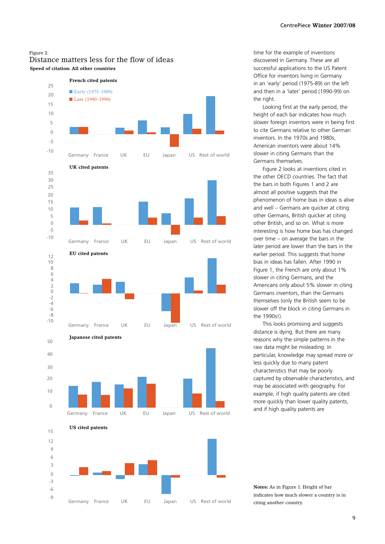## Figure 2: Distance matters less for the flow of ideas **Speed of citation: All other countries**





time for the example of inventions discovered in Germany. These are all successful applications to the US Patent Office for inventors living in Germany in an 'early' period (1975-89) on the left and then in a 'later' period (1990-99) on the right.

Looking first at the early period, the height of each bar indicates how much slower foreign inventors were in being first to cite Germans relative to other German inventors. In the 1970s and 1980s, American inventors were about 14% slower in citing Germans than the Germans themselves.

Figure 2 looks at inventions cited in the other OECD countries. The fact that the bars in both Figures 1 and 2 are almost all positive suggests that the phenomenon of home bias in ideas is alive and well – Germans are quicker at citing other Germans, British quicker at citing other British, and so on. What is more interesting is how home bias has changed over time – on average the bars in the later period are lower than the bars in the earlier period. This suggests that home bias in ideas has fallen. After 1990 in Figure 1, the French are only about 1% slower in citing Germans, and the Americans only about 5% slower in citing Germans inventors, than the Germans themselves (only the British seem to be slower off the block in citing Germans in the 1990s!).

This looks promising and suggests distance is dying. But there are many reasons why the simple patterns in the raw data might be misleading. In particular, knowledge may spread more or less quickly due to many patent characteristics that may be poorly captured by observable characteristics, and may be associated with geography. For example, if high quality patents are cited more quickly than lower quality patents, and if high quality patents are

**Notes:** As in Figure 1. Height of bar indicates how much slower a country is in citing another country.